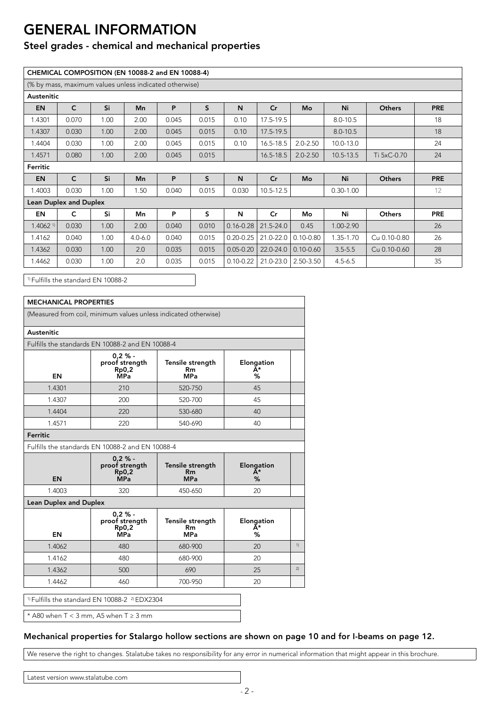## **GENERAL INFORMATION**

### Steel grades - chemical and mechanical properties

|                        |                               |      | (% by mass, maximum values unless indicated otherwise) |       |       |               |               |                     |               |               |            |
|------------------------|-------------------------------|------|--------------------------------------------------------|-------|-------|---------------|---------------|---------------------|---------------|---------------|------------|
| Austenitic             |                               |      |                                                        |       |       |               |               |                     |               |               |            |
| <b>EN</b>              | $\mathsf{C}$                  | Si   | <b>Mn</b>                                              | P     | S     | N             | Cr            | Mo                  | Ni            | <b>Others</b> | <b>PRE</b> |
| 1.4301                 | 0.070                         | 1.00 | 2.00                                                   | 0.045 | 0.015 | 0.10          | 17.5-19.5     |                     | $8.0 - 10.5$  |               | 18         |
| 1.4307                 | 0.030                         | 1.00 | 2.00                                                   | 0.045 | 0.015 | 0.10          | $17.5 - 19.5$ |                     | $8.0 - 10.5$  |               | 18         |
| 1.4404                 | 0.030                         | 1.00 | 2.00                                                   | 0.045 | 0.015 | 0.10          | $16.5 - 18.5$ | $2.0 - 2.50$        | 10.0-13.0     |               | 24         |
| 1.4571                 | 0.080                         | 1.00 | 2.00                                                   | 0.045 | 0.015 |               | $16.5 - 18.5$ | $2.0 - 2.50$        | 10.5-13.5     | Ti 5xC-0.70   | 24         |
| Ferritic               |                               |      |                                                        |       |       |               |               |                     |               |               |            |
| <b>EN</b>              | $\mathsf{C}$                  | Si   | <b>Mn</b>                                              | P     | S     | N             | Cr            | Mo                  | Ni            | <b>Others</b> | <b>PRE</b> |
| 1.4003                 | 0.030                         | 1.00 | 1.50                                                   | 0.040 | 0.015 | 0.030         | $10.5 - 12.5$ |                     | $0.30 - 1.00$ |               | 12         |
|                        | <b>Lean Duplex and Duplex</b> |      |                                                        |       |       |               |               |                     |               |               |            |
| <b>EN</b>              | $\mathsf{C}$                  | Si   | Mn                                                     | P     | s     | N             | $\mathsf{Cr}$ | Mo                  | Ni            | <b>Others</b> | <b>PRE</b> |
| $1.4062$ <sup>1)</sup> | 0.030                         | 1.00 | 2.00                                                   | 0.040 | 0.010 | $0.16 - 0.28$ | $21.5 - 24.0$ | 0.45                | 1.00-2.90     |               | 26         |
| 1.4162                 | 0.040                         | 1.00 | $4.0 - 6.0$                                            | 0.040 | 0.015 | $0.20 - 0.25$ | 21.0-22.0     | $0.10 - 0.80$       | 1.35-1.70     | Cu 0.10-0.80  | 26         |
| 1.4362                 | 0.030                         | 1.00 | 2.0                                                    | 0.035 | 0.015 | $0.05 - 0.20$ | $22.0 - 24.0$ | $0.10 - 0.60$       | $3.5 - 5.5$   | Cu 0.10-0.60  | 28         |
|                        |                               | 1.00 | 2.0                                                    | 0.035 | 0.015 | $0.10 - 0.22$ |               | 21.0-23.0 2.50-3.50 | $4.5 - 6.5$   |               | 35         |

<sup>1)</sup> Fulfills the standard EN 10088-2

| <b>MECHANICAL PROPERTIES</b>  |                                                                 |                                             |                       |    |  |
|-------------------------------|-----------------------------------------------------------------|---------------------------------------------|-----------------------|----|--|
|                               | (Measured from coil, minimum values unless indicated otherwise) |                                             |                       |    |  |
| Austenitic                    |                                                                 |                                             |                       |    |  |
|                               | Fulfills the standards EN 10088-2 and EN 10088-4                |                                             |                       |    |  |
| EN                            | $0.2 \%$ -<br>proof strength<br>Rp0,2<br><b>МРа</b>             | Tensile strength<br><b>Rm</b><br><b>MPa</b> | Elongation<br>Ă*<br>% |    |  |
| 1.4301                        | 210                                                             | 520-750                                     | 45                    |    |  |
| 1.4307                        | 200                                                             | 520-700                                     | 45                    |    |  |
| 1.4404                        | 220                                                             | 530-680                                     | 40                    |    |  |
| 1.4571                        | 220<br>540-690<br>40                                            |                                             |                       |    |  |
| Ferritic                      |                                                                 |                                             |                       |    |  |
|                               | Fulfills the standards EN 10088-2 and EN 10088-4                |                                             |                       |    |  |
| EN                            | $0.2 \% -$<br>proof strength<br><b>Rp0,2</b><br><b>MPa</b>      | Tensile strength<br><b>Rm</b><br><b>MPa</b> | Elongation<br>Ā*<br>% |    |  |
| 1.4003                        | 320                                                             | 450-650                                     | 20                    |    |  |
| <b>Lean Duplex and Duplex</b> |                                                                 |                                             |                       |    |  |
| EN                            | $0.2 \% -$<br>proof strength<br>Rp0,2<br>MP <sub>a</sub>        | Tensile strength<br>Rm<br><b>MPa</b>        | Elongation<br>A*<br>% |    |  |
| 1.4062                        | 480                                                             | 680-900                                     | 20                    | 1) |  |
|                               | 480                                                             | 680-900                                     | 20                    |    |  |
| 1.4162                        |                                                                 |                                             |                       | 2) |  |
| 1.4362                        | 500                                                             | 690                                         | 25                    |    |  |

\* A80 when  $T < 3$  mm, A5 when  $T \ge 3$  mm

### Mechanical properties for Stalargo hollow sections are shown on page 10 and for I-beams on page 12.

We reserve the right to changes. Stalatube takes no responsibility for any error in numerical information that might appear in this brochure.

#### Latest version www.stalatube.com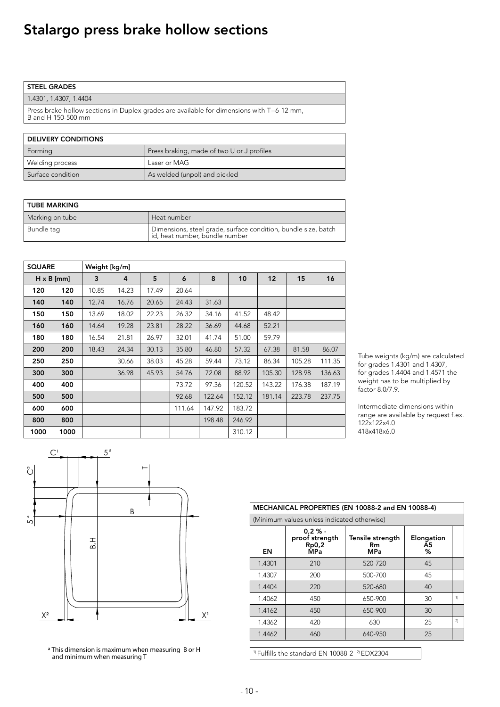# Stalargo press brake hollow sections

| <b>STEEL GRADES</b>                                                                                             |
|-----------------------------------------------------------------------------------------------------------------|
| 1.4301, 1.4307, 1.4404                                                                                          |
| Press brake hollow sections in Duplex grades are available for dimensions with T=6-12 mm,<br>B and H 150-500 mm |

| <b>DELIVERY CONDITIONS</b> |                                            |  |  |  |  |  |
|----------------------------|--------------------------------------------|--|--|--|--|--|
| Forming                    | Press braking, made of two U or J profiles |  |  |  |  |  |
| Welding process            | Laser or MAG                               |  |  |  |  |  |
| Surface condition          | As welded (unpol) and pickled              |  |  |  |  |  |

| <b>TUBE MARKING</b> |                                                                                                    |  |  |  |  |
|---------------------|----------------------------------------------------------------------------------------------------|--|--|--|--|
| Marking on tube     | Heat number                                                                                        |  |  |  |  |
| Bundle taq          | Dimensions, steel grade, surface condition, bundle size, batch<br>  id, heat number, bundle number |  |  |  |  |

| <b>SQUARE</b> |                   | Weight [kg/m] |       |       |        |        |        |        |        |        |
|---------------|-------------------|---------------|-------|-------|--------|--------|--------|--------|--------|--------|
|               | $H \times B$ [mm] | 3             | 4     | 5     | 6      | 8      | 10     | 12     | 15     | 16     |
| 120           | 120               | 10.85         | 14.23 | 17.49 | 20.64  |        |        |        |        |        |
| 140           | 140               | 12.74         | 16.76 | 20.65 | 24.43  | 31.63  |        |        |        |        |
| 150           | 150               | 13.69         | 18.02 | 22.23 | 26.32  | 34.16  | 41.52  | 48.42  |        |        |
| 160           | 160               | 14.64         | 19.28 | 23.81 | 28.22  | 36.69  | 44.68  | 52.21  |        |        |
| 180           | 180               | 16.54         | 21.81 | 26.97 | 32.01  | 41.74  | 51.00  | 59.79  |        |        |
| 200           | 200               | 18.43         | 24.34 | 30.13 | 35.80  | 46.80  | 57.32  | 67.38  | 81.58  | 86.07  |
| 250           | 250               |               | 30.66 | 38.03 | 45.28  | 59.44  | 73.12  | 86.34  | 105.28 | 111.35 |
| 300           | 300               |               | 36.98 | 45.93 | 54.76  | 72.08  | 88.92  | 105.30 | 128.98 | 136.63 |
| 400           | 400               |               |       |       | 73.72  | 97.36  | 120.52 | 143.22 | 176.38 | 187.19 |
| 500           | 500               |               |       |       | 92.68  | 122.64 | 152.12 | 181.14 | 223.78 | 237.75 |
| 600           | 600               |               |       |       | 111.64 | 147.92 | 183.72 |        |        |        |
| 800           | 800               |               |       |       |        | 198.48 | 246.92 |        |        |        |
| 1000          | 1000              |               |       |       |        |        | 310.12 |        |        |        |

Tube weights (kg/m) are calculated for grades 1.4301 and 1.4307, for grades  $1.4404$  and  $1.4571$  the weight has to be multiplied by  $factor 8.0/7.9.$ 

Intermediate dimensions within range are available by request f.ex. 122x122x4.0 418x418x6.0



<sup>a</sup> This dimension is maximum when measuring B or H and minimum when measuring T

| MECHANICAL PROPERTIES (EN 10088-2 and EN 10088-4) |                                                     |                                       |                                   |    |  |  |  |  |
|---------------------------------------------------|-----------------------------------------------------|---------------------------------------|-----------------------------------|----|--|--|--|--|
| (Minimum values unless indicated otherwise)       |                                                     |                                       |                                   |    |  |  |  |  |
| EN                                                | $0.2 \%$ -<br>proof strength<br>Rp0,2<br><b>MPa</b> | Tensile strength<br>Rm.<br><b>MPa</b> | Elongation<br>A <sub>5</sub><br>℅ |    |  |  |  |  |
| 1.4301                                            | 210                                                 | 520-720                               | 45                                |    |  |  |  |  |
| 1.4307                                            | 200                                                 | 500-700                               | 45                                |    |  |  |  |  |
| 1.4404                                            | 220                                                 | 520-680                               | 40                                |    |  |  |  |  |
| 1.4062                                            | 450                                                 | 650-900                               | 30                                | 1) |  |  |  |  |
| 1.4162                                            | 450                                                 | 650-900                               | 30                                |    |  |  |  |  |
| 1.4362                                            | 420                                                 | 630                                   | 25                                | 2) |  |  |  |  |
| 1.4462                                            | 460                                                 | 640-950                               | 25                                |    |  |  |  |  |

 $1$ <sup>1)</sup> Fulfills the standard EN 10088-2 $2$  EDX2304